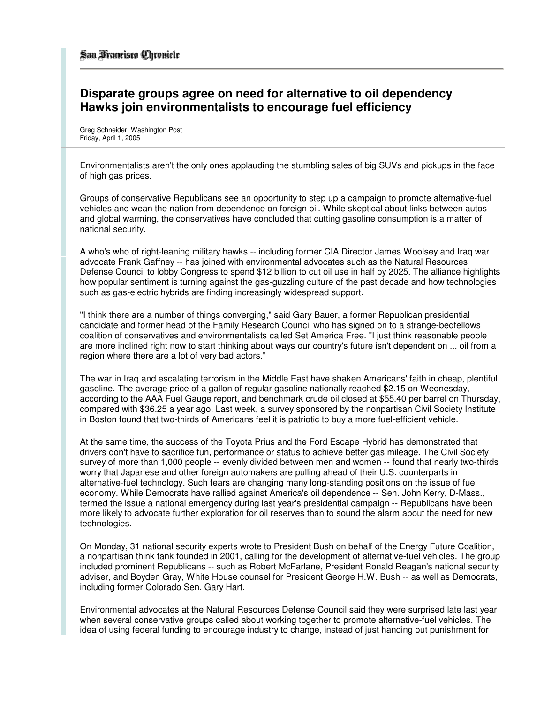## **Disparate groups agree on need for alternative to oil dependency Hawks join environmentalists to encourage fuel efficiency**

Greg Schneider, Washington Post Friday, April 1, 2005

Environmentalists aren't the only ones applauding the stumbling sales of big SUVs and pickups in the face of high gas prices.

Groups of conservative Republicans see an opportunity to step up a campaign to promote alternative-fuel vehicles and wean the nation from dependence on foreign oil. While skeptical about links between autos and global warming, the conservatives have concluded that cutting gasoline consumption is a matter of national security.

A who's who of right-leaning military hawks -- including former CIA Director James Woolsey and Iraq war advocate Frank Gaffney -- has joined with environmental advocates such as the Natural Resources Defense Council to lobby Congress to spend \$12 billion to cut oil use in half by 2025. The alliance highlights how popular sentiment is turning against the gas-guzzling culture of the past decade and how technologies such as gas-electric hybrids are finding increasingly widespread support.

"I think there are a number of things converging," said Gary Bauer, a former Republican presidential candidate and former head of the Family Research Council who has signed on to a strange-bedfellows coalition of conservatives and environmentalists called Set America Free. "I just think reasonable people are more inclined right now to start thinking about ways our country's future isn't dependent on ... oil from a region where there are a lot of very bad actors."

The war in Iraq and escalating terrorism in the Middle East have shaken Americans' faith in cheap, plentiful gasoline. The average price of a gallon of regular gasoline nationally reached \$2.15 on Wednesday, according to the AAA Fuel Gauge report, and benchmark crude oil closed at \$55.40 per barrel on Thursday, compared with \$36.25 a year ago. Last week, a survey sponsored by the nonpartisan Civil Society Institute in Boston found that two-thirds of Americans feel it is patriotic to buy a more fuel-efficient vehicle.

At the same time, the success of the Toyota Prius and the Ford Escape Hybrid has demonstrated that drivers don't have to sacrifice fun, performance or status to achieve better gas mileage. The Civil Society survey of more than 1,000 people -- evenly divided between men and women -- found that nearly two-thirds worry that Japanese and other foreign automakers are pulling ahead of their U.S. counterparts in alternative-fuel technology. Such fears are changing many long-standing positions on the issue of fuel economy. While Democrats have rallied against America's oil dependence -- Sen. John Kerry, D-Mass., termed the issue a national emergency during last year's presidential campaign -- Republicans have been more likely to advocate further exploration for oil reserves than to sound the alarm about the need for new technologies.

On Monday, 31 national security experts wrote to President Bush on behalf of the Energy Future Coalition, a nonpartisan think tank founded in 2001, calling for the development of alternative-fuel vehicles. The group included prominent Republicans -- such as Robert McFarlane, President Ronald Reagan's national security adviser, and Boyden Gray, White House counsel for President George H.W. Bush -- as well as Democrats, including former Colorado Sen. Gary Hart.

Environmental advocates at the Natural Resources Defense Council said they were surprised late last year when several conservative groups called about working together to promote alternative-fuel vehicles. The idea of using federal funding to encourage industry to change, instead of just handing out punishment for